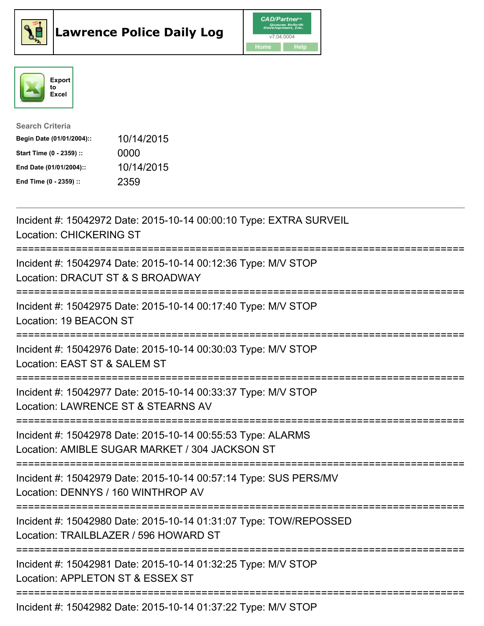





| <b>Search Criteria</b>    |            |
|---------------------------|------------|
| Begin Date (01/01/2004):: | 10/14/2015 |
| Start Time (0 - 2359) ::  | 0000       |
| End Date (01/01/2004)::   | 10/14/2015 |
| End Time (0 - 2359) ::    | 2359       |

| Incident #: 15042972 Date: 2015-10-14 00:00:10 Type: EXTRA SURVEIL<br><b>Location: CHICKERING ST</b>                                        |
|---------------------------------------------------------------------------------------------------------------------------------------------|
| Incident #: 15042974 Date: 2015-10-14 00:12:36 Type: M/V STOP<br>Location: DRACUT ST & S BROADWAY                                           |
| Incident #: 15042975 Date: 2015-10-14 00:17:40 Type: M/V STOP<br>Location: 19 BEACON ST                                                     |
| Incident #: 15042976 Date: 2015-10-14 00:30:03 Type: M/V STOP<br>Location: EAST ST & SALEM ST                                               |
| Incident #: 15042977 Date: 2015-10-14 00:33:37 Type: M/V STOP<br>Location: LAWRENCE ST & STEARNS AV<br>============================         |
| Incident #: 15042978 Date: 2015-10-14 00:55:53 Type: ALARMS<br>Location: AMIBLE SUGAR MARKET / 304 JACKSON ST                               |
| Incident #: 15042979 Date: 2015-10-14 00:57:14 Type: SUS PERS/MV<br>Location: DENNYS / 160 WINTHROP AV<br>============================      |
| Incident #: 15042980 Date: 2015-10-14 01:31:07 Type: TOW/REPOSSED<br>Location: TRAILBLAZER / 596 HOWARD ST<br>----------------------------- |
| Incident #: 15042981 Date: 2015-10-14 01:32:25 Type: M/V STOP<br>Location: APPLETON ST & ESSEX ST                                           |
| Incident #: 15042982 Date: 2015-10-14 01:37:22 Type: M/V STOP                                                                               |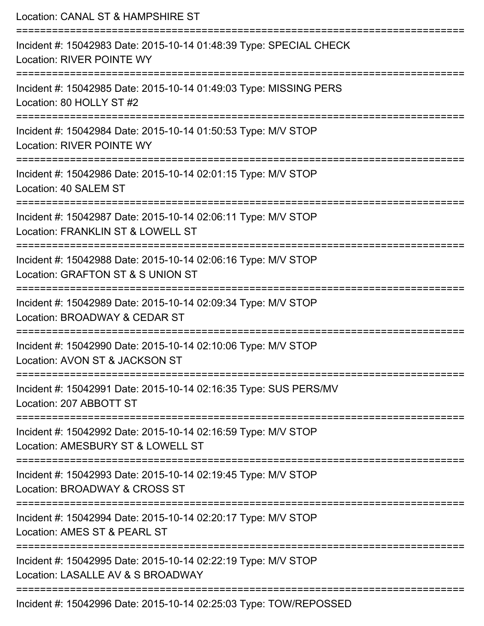| Location: CANAL ST & HAMPSHIRE ST                                                                                              |
|--------------------------------------------------------------------------------------------------------------------------------|
| Incident #: 15042983 Date: 2015-10-14 01:48:39 Type: SPECIAL CHECK<br>Location: RIVER POINTE WY                                |
| Incident #: 15042985 Date: 2015-10-14 01:49:03 Type: MISSING PERS<br>Location: 80 HOLLY ST #2                                  |
| Incident #: 15042984 Date: 2015-10-14 01:50:53 Type: M/V STOP<br>Location: RIVER POINTE WY                                     |
| :===================================<br>Incident #: 15042986 Date: 2015-10-14 02:01:15 Type: M/V STOP<br>Location: 40 SALEM ST |
| Incident #: 15042987 Date: 2015-10-14 02:06:11 Type: M/V STOP<br>Location: FRANKLIN ST & LOWELL ST                             |
| :=======================<br>Incident #: 15042988 Date: 2015-10-14 02:06:16 Type: M/V STOP<br>Location: GRAFTON ST & S UNION ST |
| Incident #: 15042989 Date: 2015-10-14 02:09:34 Type: M/V STOP<br>Location: BROADWAY & CEDAR ST                                 |
| Incident #: 15042990 Date: 2015-10-14 02:10:06 Type: M/V STOP<br>Location: AVON ST & JACKSON ST                                |
| Incident #: 15042991 Date: 2015-10-14 02:16:35 Type: SUS PERS/MV<br>Location: 207 ABBOTT ST                                    |
| Incident #: 15042992 Date: 2015-10-14 02:16:59 Type: M/V STOP<br>Location: AMESBURY ST & LOWELL ST                             |
| Incident #: 15042993 Date: 2015-10-14 02:19:45 Type: M/V STOP<br>Location: BROADWAY & CROSS ST                                 |
| Incident #: 15042994 Date: 2015-10-14 02:20:17 Type: M/V STOP<br>Location: AMES ST & PEARL ST                                  |
| Incident #: 15042995 Date: 2015-10-14 02:22:19 Type: M/V STOP<br>Location: LASALLE AV & S BROADWAY                             |
| Incident #: 15042996 Date: 2015-10-14 02:25:03 Type: TOW/REPOSSED                                                              |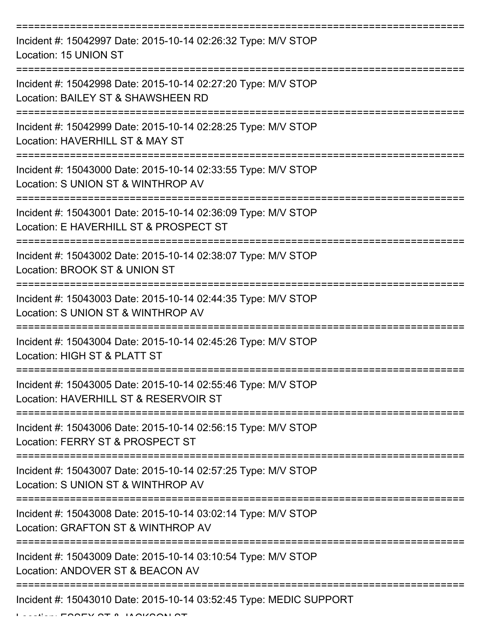| Incident #: 15042997 Date: 2015-10-14 02:26:32 Type: M/V STOP<br>Location: 15 UNION ST                  |
|---------------------------------------------------------------------------------------------------------|
| Incident #: 15042998 Date: 2015-10-14 02:27:20 Type: M/V STOP<br>Location: BAILEY ST & SHAWSHEEN RD     |
| Incident #: 15042999 Date: 2015-10-14 02:28:25 Type: M/V STOP<br>Location: HAVERHILL ST & MAY ST        |
| Incident #: 15043000 Date: 2015-10-14 02:33:55 Type: M/V STOP<br>Location: S UNION ST & WINTHROP AV     |
| Incident #: 15043001 Date: 2015-10-14 02:36:09 Type: M/V STOP<br>Location: E HAVERHILL ST & PROSPECT ST |
| Incident #: 15043002 Date: 2015-10-14 02:38:07 Type: M/V STOP<br>Location: BROOK ST & UNION ST          |
| Incident #: 15043003 Date: 2015-10-14 02:44:35 Type: M/V STOP<br>Location: S UNION ST & WINTHROP AV     |
| Incident #: 15043004 Date: 2015-10-14 02:45:26 Type: M/V STOP<br>Location: HIGH ST & PLATT ST           |
| Incident #: 15043005 Date: 2015-10-14 02:55:46 Type: M/V STOP<br>Location: HAVERHILL ST & RESERVOIR ST  |
| Incident #: 15043006 Date: 2015-10-14 02:56:15 Type: M/V STOP<br>Location: FERRY ST & PROSPECT ST       |
| Incident #: 15043007 Date: 2015-10-14 02:57:25 Type: M/V STOP<br>Location: S UNION ST & WINTHROP AV     |
| Incident #: 15043008 Date: 2015-10-14 03:02:14 Type: M/V STOP<br>Location: GRAFTON ST & WINTHROP AV     |
| Incident #: 15043009 Date: 2015-10-14 03:10:54 Type: M/V STOP<br>Location: ANDOVER ST & BEACON AV       |
| Incident #: 15043010 Date: 2015-10-14 03:52:45 Type: MEDIC SUPPORT                                      |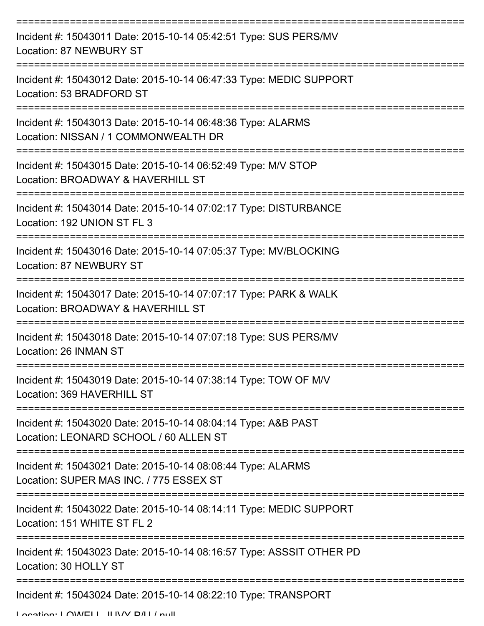| Incident #: 15043011 Date: 2015-10-14 05:42:51 Type: SUS PERS/MV<br>Location: 87 NEWBURY ST                                        |
|------------------------------------------------------------------------------------------------------------------------------------|
| Incident #: 15043012 Date: 2015-10-14 06:47:33 Type: MEDIC SUPPORT<br>Location: 53 BRADFORD ST                                     |
| Incident #: 15043013 Date: 2015-10-14 06:48:36 Type: ALARMS<br>Location: NISSAN / 1 COMMONWEALTH DR                                |
| Incident #: 15043015 Date: 2015-10-14 06:52:49 Type: M/V STOP<br>Location: BROADWAY & HAVERHILL ST                                 |
| Incident #: 15043014 Date: 2015-10-14 07:02:17 Type: DISTURBANCE<br>Location: 192 UNION ST FL 3                                    |
| ===================================<br>Incident #: 15043016 Date: 2015-10-14 07:05:37 Type: MV/BLOCKING<br>Location: 87 NEWBURY ST |
| Incident #: 15043017 Date: 2015-10-14 07:07:17 Type: PARK & WALK<br>Location: BROADWAY & HAVERHILL ST                              |
| Incident #: 15043018 Date: 2015-10-14 07:07:18 Type: SUS PERS/MV<br>Location: 26 INMAN ST                                          |
| Incident #: 15043019 Date: 2015-10-14 07:38:14 Type: TOW OF M/V<br>Location: 369 HAVERHILL ST                                      |
| Incident #: 15043020 Date: 2015-10-14 08:04:14 Type: A&B PAST<br>Location: LEONARD SCHOOL / 60 ALLEN ST                            |
| Incident #: 15043021 Date: 2015-10-14 08:08:44 Type: ALARMS<br>Location: SUPER MAS INC. / 775 ESSEX ST                             |
| Incident #: 15043022 Date: 2015-10-14 08:14:11 Type: MEDIC SUPPORT<br>Location: 151 WHITE ST FL 2                                  |
| Incident #: 15043023 Date: 2015-10-14 08:16:57 Type: ASSSIT OTHER PD<br>Location: 30 HOLLY ST                                      |
| Incident #: 15043024 Date: 2015-10-14 08:22:10 Type: TRANSPORT                                                                     |

Location: LOWELL JUNN D/LL/ null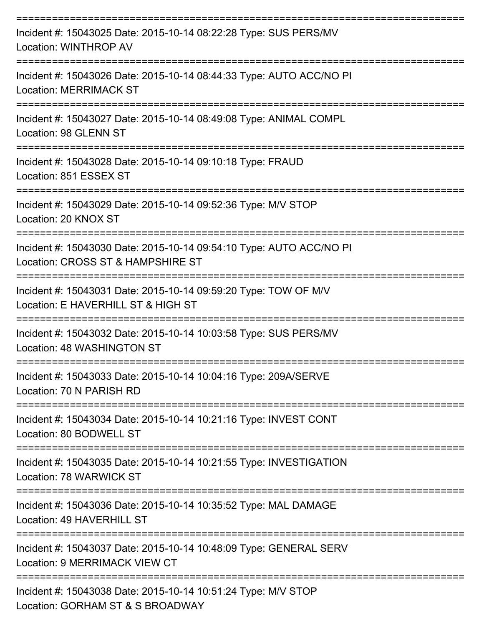| Incident #: 15043025 Date: 2015-10-14 08:22:28 Type: SUS PERS/MV<br>Location: WINTHROP AV                   |
|-------------------------------------------------------------------------------------------------------------|
| Incident #: 15043026 Date: 2015-10-14 08:44:33 Type: AUTO ACC/NO PI<br><b>Location: MERRIMACK ST</b>        |
| Incident #: 15043027 Date: 2015-10-14 08:49:08 Type: ANIMAL COMPL<br>Location: 98 GLENN ST                  |
| Incident #: 15043028 Date: 2015-10-14 09:10:18 Type: FRAUD<br>Location: 851 ESSEX ST                        |
| ==================<br>Incident #: 15043029 Date: 2015-10-14 09:52:36 Type: M/V STOP<br>Location: 20 KNOX ST |
| Incident #: 15043030 Date: 2015-10-14 09:54:10 Type: AUTO ACC/NO PI<br>Location: CROSS ST & HAMPSHIRE ST    |
| Incident #: 15043031 Date: 2015-10-14 09:59:20 Type: TOW OF M/V<br>Location: E HAVERHILL ST & HIGH ST       |
| Incident #: 15043032 Date: 2015-10-14 10:03:58 Type: SUS PERS/MV<br>Location: 48 WASHINGTON ST              |
| Incident #: 15043033 Date: 2015-10-14 10:04:16 Type: 209A/SERVE<br>Location: 70 N PARISH RD                 |
| Incident #: 15043034 Date: 2015-10-14 10:21:16 Type: INVEST CONT<br>Location: 80 BODWELL ST                 |
| Incident #: 15043035 Date: 2015-10-14 10:21:55 Type: INVESTIGATION<br>Location: 78 WARWICK ST               |
| Incident #: 15043036 Date: 2015-10-14 10:35:52 Type: MAL DAMAGE<br>Location: 49 HAVERHILL ST                |
| Incident #: 15043037 Date: 2015-10-14 10:48:09 Type: GENERAL SERV<br><b>Location: 9 MERRIMACK VIEW CT</b>   |
| Incident #: 15043038 Date: 2015-10-14 10:51:24 Type: M/V STOP<br>Location: GORHAM ST & S BROADWAY           |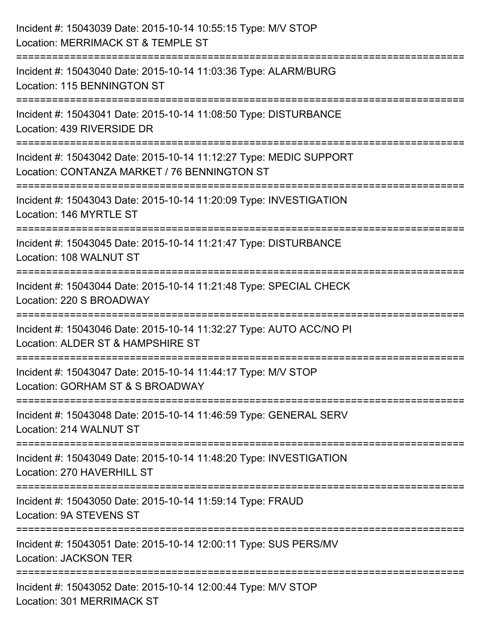| Incident #: 15043039 Date: 2015-10-14 10:55:15 Type: M/V STOP<br>Location: MERRIMACK ST & TEMPLE ST                                          |
|----------------------------------------------------------------------------------------------------------------------------------------------|
| :=========================<br>Incident #: 15043040 Date: 2015-10-14 11:03:36 Type: ALARM/BURG<br>Location: 115 BENNINGTON ST                 |
| Incident #: 15043041 Date: 2015-10-14 11:08:50 Type: DISTURBANCE<br>Location: 439 RIVERSIDE DR<br>====================================       |
| Incident #: 15043042 Date: 2015-10-14 11:12:27 Type: MEDIC SUPPORT<br>Location: CONTANZA MARKET / 76 BENNINGTON ST<br>====================== |
| Incident #: 15043043 Date: 2015-10-14 11:20:09 Type: INVESTIGATION<br>Location: 146 MYRTLE ST                                                |
| Incident #: 15043045 Date: 2015-10-14 11:21:47 Type: DISTURBANCE<br>Location: 108 WALNUT ST                                                  |
| Incident #: 15043044 Date: 2015-10-14 11:21:48 Type: SPECIAL CHECK<br>Location: 220 S BROADWAY                                               |
| Incident #: 15043046 Date: 2015-10-14 11:32:27 Type: AUTO ACC/NO PI<br>Location: ALDER ST & HAMPSHIRE ST                                     |
| Incident #: 15043047 Date: 2015-10-14 11:44:17 Type: M/V STOP<br>Location: GORHAM ST & S BROADWAY                                            |
| Incident #: 15043048 Date: 2015-10-14 11:46:59 Type: GENERAL SERV<br>Location: 214 WALNUT ST                                                 |
| Incident #: 15043049 Date: 2015-10-14 11:48:20 Type: INVESTIGATION<br>Location: 270 HAVERHILL ST                                             |
| Incident #: 15043050 Date: 2015-10-14 11:59:14 Type: FRAUD<br>Location: 9A STEVENS ST                                                        |
| Incident #: 15043051 Date: 2015-10-14 12:00:11 Type: SUS PERS/MV<br><b>Location: JACKSON TER</b>                                             |
| Incident #: 15043052 Date: 2015-10-14 12:00:44 Type: M/V STOP<br>Location: 301 MERRIMACK ST                                                  |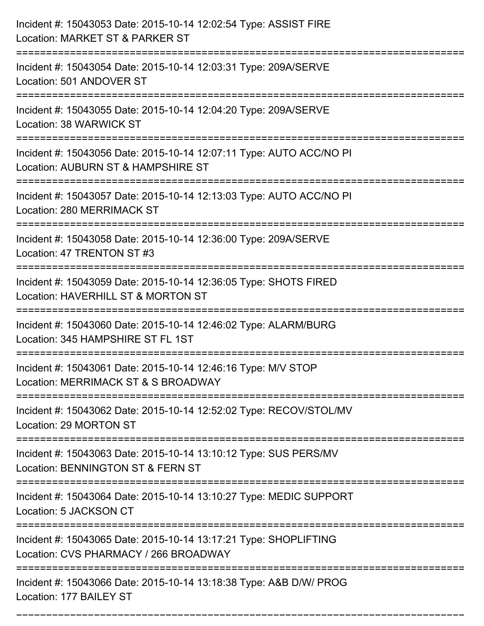| Incident #: 15043053 Date: 2015-10-14 12:02:54 Type: ASSIST FIRE<br>Location: MARKET ST & PARKER ST                        |
|----------------------------------------------------------------------------------------------------------------------------|
| Incident #: 15043054 Date: 2015-10-14 12:03:31 Type: 209A/SERVE<br>Location: 501 ANDOVER ST                                |
| Incident #: 15043055 Date: 2015-10-14 12:04:20 Type: 209A/SERVE<br>Location: 38 WARWICK ST                                 |
| Incident #: 15043056 Date: 2015-10-14 12:07:11 Type: AUTO ACC/NO PI<br>Location: AUBURN ST & HAMPSHIRE ST                  |
| Incident #: 15043057 Date: 2015-10-14 12:13:03 Type: AUTO ACC/NO PI<br><b>Location: 280 MERRIMACK ST</b>                   |
| Incident #: 15043058 Date: 2015-10-14 12:36:00 Type: 209A/SERVE<br>Location: 47 TRENTON ST #3                              |
| Incident #: 15043059 Date: 2015-10-14 12:36:05 Type: SHOTS FIRED<br>Location: HAVERHILL ST & MORTON ST                     |
| Incident #: 15043060 Date: 2015-10-14 12:46:02 Type: ALARM/BURG<br>Location: 345 HAMPSHIRE ST FL 1ST                       |
| Incident #: 15043061 Date: 2015-10-14 12:46:16 Type: M/V STOP<br>Location: MERRIMACK ST & S BROADWAY                       |
| Incident #: 15043062 Date: 2015-10-14 12:52:02 Type: RECOV/STOL/MV<br>Location: 29 MORTON ST                               |
| Incident #: 15043063 Date: 2015-10-14 13:10:12 Type: SUS PERS/MV<br>Location: BENNINGTON ST & FERN ST                      |
| Incident #: 15043064 Date: 2015-10-14 13:10:27 Type: MEDIC SUPPORT<br>Location: 5 JACKSON CT<br>-------------------------- |
| Incident #: 15043065 Date: 2015-10-14 13:17:21 Type: SHOPLIFTING<br>Location: CVS PHARMACY / 266 BROADWAY                  |
| Incident #: 15043066 Date: 2015-10-14 13:18:38 Type: A&B D/W/ PROG<br>Location: 177 BAILEY ST                              |

===========================================================================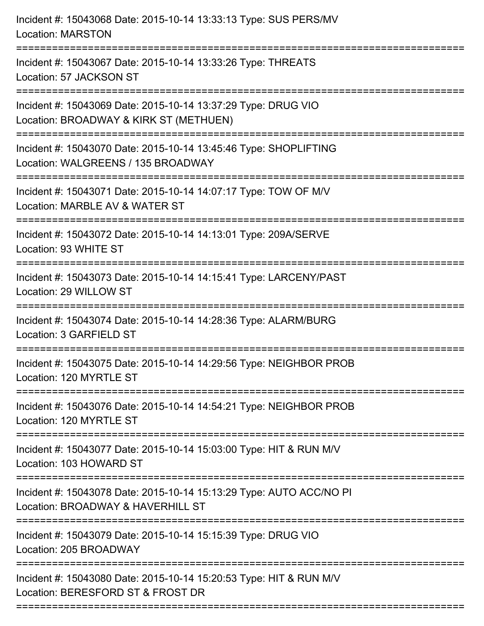| Location: WALGREENS / 135 BROADWAY<br>Location: MARBLE AV & WATER ST<br>=============================<br>Location: 93 WHITE ST<br>Location: 3 GARFIELD ST<br>====================<br>Incident #: 15043076 Date: 2015-10-14 14:54:21 Type: NEIGHBOR PROB<br>Location: 103 HOWARD ST<br>Location: 205 BROADWAY<br>Location: BERESFORD ST & FROST DR | Incident #: 15043068 Date: 2015-10-14 13:33:13 Type: SUS PERS/MV<br><b>Location: MARSTON</b>             |
|---------------------------------------------------------------------------------------------------------------------------------------------------------------------------------------------------------------------------------------------------------------------------------------------------------------------------------------------------|----------------------------------------------------------------------------------------------------------|
|                                                                                                                                                                                                                                                                                                                                                   | Incident #: 15043067 Date: 2015-10-14 13:33:26 Type: THREATS<br>Location: 57 JACKSON ST                  |
|                                                                                                                                                                                                                                                                                                                                                   | Incident #: 15043069 Date: 2015-10-14 13:37:29 Type: DRUG VIO<br>Location: BROADWAY & KIRK ST (METHUEN)  |
|                                                                                                                                                                                                                                                                                                                                                   | Incident #: 15043070 Date: 2015-10-14 13:45:46 Type: SHOPLIFTING                                         |
|                                                                                                                                                                                                                                                                                                                                                   | Incident #: 15043071 Date: 2015-10-14 14:07:17 Type: TOW OF M/V                                          |
|                                                                                                                                                                                                                                                                                                                                                   | Incident #: 15043072 Date: 2015-10-14 14:13:01 Type: 209A/SERVE                                          |
|                                                                                                                                                                                                                                                                                                                                                   | Incident #: 15043073 Date: 2015-10-14 14:15:41 Type: LARCENY/PAST<br>Location: 29 WILLOW ST              |
|                                                                                                                                                                                                                                                                                                                                                   | Incident #: 15043074 Date: 2015-10-14 14:28:36 Type: ALARM/BURG                                          |
|                                                                                                                                                                                                                                                                                                                                                   | Incident #: 15043075 Date: 2015-10-14 14:29:56 Type: NEIGHBOR PROB<br>Location: 120 MYRTLE ST            |
|                                                                                                                                                                                                                                                                                                                                                   | Location: 120 MYRTLE ST                                                                                  |
|                                                                                                                                                                                                                                                                                                                                                   | Incident #: 15043077 Date: 2015-10-14 15:03:00 Type: HIT & RUN M/V                                       |
|                                                                                                                                                                                                                                                                                                                                                   | Incident #: 15043078 Date: 2015-10-14 15:13:29 Type: AUTO ACC/NO PI<br>Location: BROADWAY & HAVERHILL ST |
|                                                                                                                                                                                                                                                                                                                                                   | Incident #: 15043079 Date: 2015-10-14 15:15:39 Type: DRUG VIO                                            |
|                                                                                                                                                                                                                                                                                                                                                   | Incident #: 15043080 Date: 2015-10-14 15:20:53 Type: HIT & RUN M/V                                       |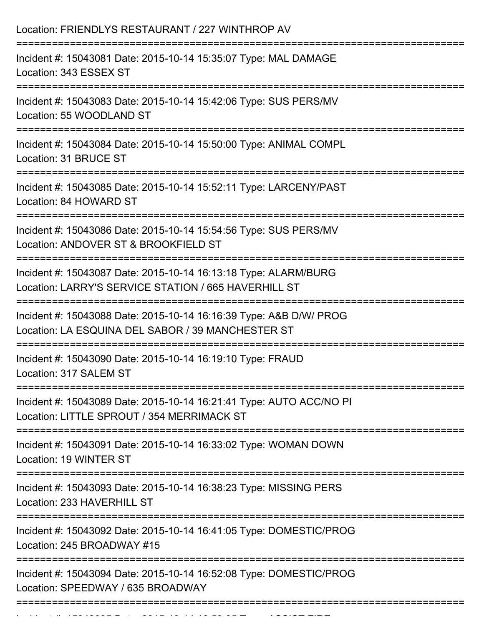| Location: FRIENDLYS RESTAURANT / 227 WINTHROP AV<br>:====================                                                   |
|-----------------------------------------------------------------------------------------------------------------------------|
| Incident #: 15043081 Date: 2015-10-14 15:35:07 Type: MAL DAMAGE<br>Location: 343 ESSEX ST<br>------------------------------ |
| Incident #: 15043083 Date: 2015-10-14 15:42:06 Type: SUS PERS/MV<br>Location: 55 WOODLAND ST                                |
| Incident #: 15043084 Date: 2015-10-14 15:50:00 Type: ANIMAL COMPL<br>Location: 31 BRUCE ST                                  |
| Incident #: 15043085 Date: 2015-10-14 15:52:11 Type: LARCENY/PAST<br>Location: 84 HOWARD ST                                 |
| Incident #: 15043086 Date: 2015-10-14 15:54:56 Type: SUS PERS/MV<br>Location: ANDOVER ST & BROOKFIELD ST                    |
| Incident #: 15043087 Date: 2015-10-14 16:13:18 Type: ALARM/BURG<br>Location: LARRY'S SERVICE STATION / 665 HAVERHILL ST     |
| Incident #: 15043088 Date: 2015-10-14 16:16:39 Type: A&B D/W/ PROG<br>Location: LA ESQUINA DEL SABOR / 39 MANCHESTER ST     |
| Incident #: 15043090 Date: 2015-10-14 16:19:10 Type: FRAUD<br>Location: 317 SALEM ST                                        |
| Incident #: 15043089 Date: 2015-10-14 16:21:41 Type: AUTO ACC/NO PI<br>Location: LITTLE SPROUT / 354 MERRIMACK ST           |
| Incident #: 15043091 Date: 2015-10-14 16:33:02 Type: WOMAN DOWN<br>Location: 19 WINTER ST                                   |
| Incident #: 15043093 Date: 2015-10-14 16:38:23 Type: MISSING PERS<br>Location: 233 HAVERHILL ST                             |
| Incident #: 15043092 Date: 2015-10-14 16:41:05 Type: DOMESTIC/PROG<br>Location: 245 BROADWAY #15                            |
| Incident #: 15043094 Date: 2015-10-14 16:52:08 Type: DOMESTIC/PROG<br>Location: SPEEDWAY / 635 BROADWAY                     |
|                                                                                                                             |

Incident #: 15043095 Date: 2015 10 14 16:53:05 Type: ASSIST FIRE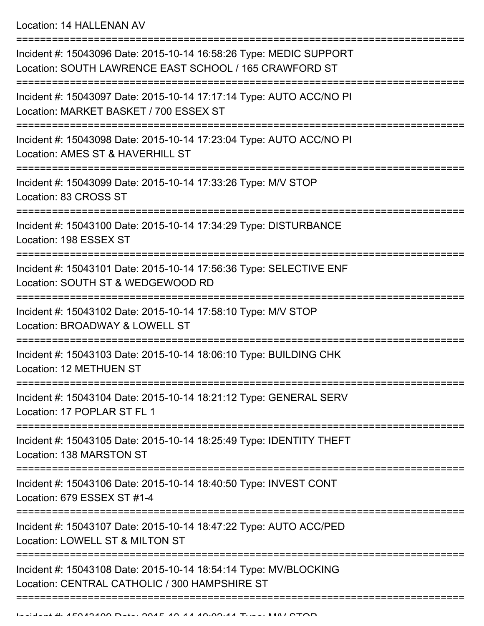Location: 14 HALLENAN AV

| Incident #: 15043096 Date: 2015-10-14 16:58:26 Type: MEDIC SUPPORT<br>Location: SOUTH LAWRENCE EAST SCHOOL / 165 CRAWFORD ST |
|------------------------------------------------------------------------------------------------------------------------------|
| Incident #: 15043097 Date: 2015-10-14 17:17:14 Type: AUTO ACC/NO PI<br>Location: MARKET BASKET / 700 ESSEX ST                |
| Incident #: 15043098 Date: 2015-10-14 17:23:04 Type: AUTO ACC/NO PI<br>Location: AMES ST & HAVERHILL ST                      |
| Incident #: 15043099 Date: 2015-10-14 17:33:26 Type: M/V STOP<br>Location: 83 CROSS ST                                       |
| Incident #: 15043100 Date: 2015-10-14 17:34:29 Type: DISTURBANCE<br>Location: 198 ESSEX ST                                   |
| Incident #: 15043101 Date: 2015-10-14 17:56:36 Type: SELECTIVE ENF<br>Location: SOUTH ST & WEDGEWOOD RD                      |
| Incident #: 15043102 Date: 2015-10-14 17:58:10 Type: M/V STOP<br>Location: BROADWAY & LOWELL ST                              |
| Incident #: 15043103 Date: 2015-10-14 18:06:10 Type: BUILDING CHK<br>Location: 12 METHUEN ST                                 |
| Incident #: 15043104 Date: 2015-10-14 18:21:12 Type: GENERAL SERV<br>Location: 17 POPLAR ST FL 1<br>-------------            |
| Incident #: 15043105 Date: 2015-10-14 18:25:49 Type: IDENTITY THEFT<br>Location: 138 MARSTON ST                              |
| Incident #: 15043106 Date: 2015-10-14 18:40:50 Type: INVEST CONT<br>Location: 679 ESSEX ST #1-4                              |
| Incident #: 15043107 Date: 2015-10-14 18:47:22 Type: AUTO ACC/PED<br>Location: LOWELL ST & MILTON ST                         |
| Incident #: 15043108 Date: 2015-10-14 18:54:14 Type: MV/BLOCKING<br>Location: CENTRAL CATHOLIC / 300 HAMPSHIRE ST            |
|                                                                                                                              |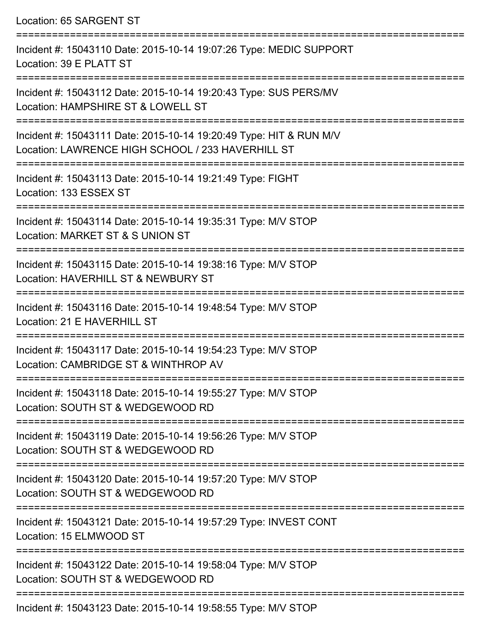Location: 65 SARGENT ST =========================================================================== Incident #: 15043110 Date: 2015-10-14 19:07:26 Type: MEDIC SUPPORT Location: 39 E PLATT ST =========================================================================== Incident #: 15043112 Date: 2015-10-14 19:20:43 Type: SUS PERS/MV Location: HAMPSHIRE ST & LOWELL ST =========================================================================== Incident #: 15043111 Date: 2015-10-14 19:20:49 Type: HIT & RUN M/V Location: LAWRENCE HIGH SCHOOL / 233 HAVERHILL ST =========================================================================== Incident #: 15043113 Date: 2015-10-14 19:21:49 Type: FIGHT Location: 133 ESSEX ST =========================================================================== Incident #: 15043114 Date: 2015-10-14 19:35:31 Type: M/V STOP Location: MARKET ST & S UNION ST =========================================================================== Incident #: 15043115 Date: 2015-10-14 19:38:16 Type: M/V STOP Location: HAVERHILL ST & NEWBURY ST =========================================================================== Incident #: 15043116 Date: 2015-10-14 19:48:54 Type: M/V STOP Location: 21 E HAVERHILL ST =========================================================================== Incident #: 15043117 Date: 2015-10-14 19:54:23 Type: M/V STOP Location: CAMBRIDGE ST & WINTHROP AV =========================================================================== Incident #: 15043118 Date: 2015-10-14 19:55:27 Type: M/V STOP Location: SOUTH ST & WEDGEWOOD RD =========================================================================== Incident #: 15043119 Date: 2015-10-14 19:56:26 Type: M/V STOP Location: SOUTH ST & WEDGEWOOD RD =========================================================================== Incident #: 15043120 Date: 2015-10-14 19:57:20 Type: M/V STOP Location: SOUTH ST & WEDGEWOOD RD =========================================================================== Incident #: 15043121 Date: 2015-10-14 19:57:29 Type: INVEST CONT Location: 15 ELMWOOD ST =========================================================================== Incident #: 15043122 Date: 2015-10-14 19:58:04 Type: M/V STOP Location: SOUTH ST & WEDGEWOOD RD ===========================================================================

Incident #: 15043123 Date: 2015-10-14 19:58:55 Type: M/V STOP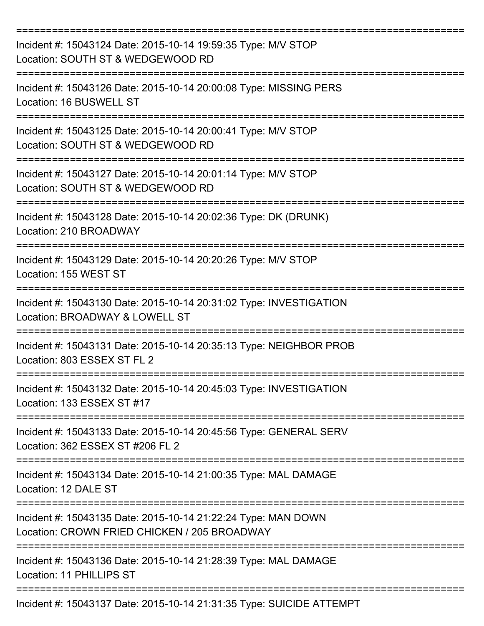| Incident #: 15043124 Date: 2015-10-14 19:59:35 Type: M/V STOP<br>Location: SOUTH ST & WEDGEWOOD RD            |
|---------------------------------------------------------------------------------------------------------------|
| Incident #: 15043126 Date: 2015-10-14 20:00:08 Type: MISSING PERS<br>Location: 16 BUSWELL ST                  |
| Incident #: 15043125 Date: 2015-10-14 20:00:41 Type: M/V STOP<br>Location: SOUTH ST & WEDGEWOOD RD            |
| Incident #: 15043127 Date: 2015-10-14 20:01:14 Type: M/V STOP<br>Location: SOUTH ST & WEDGEWOOD RD            |
| Incident #: 15043128 Date: 2015-10-14 20:02:36 Type: DK (DRUNK)<br>Location: 210 BROADWAY                     |
| Incident #: 15043129 Date: 2015-10-14 20:20:26 Type: M/V STOP<br>Location: 155 WEST ST                        |
| Incident #: 15043130 Date: 2015-10-14 20:31:02 Type: INVESTIGATION<br>Location: BROADWAY & LOWELL ST          |
| Incident #: 15043131 Date: 2015-10-14 20:35:13 Type: NEIGHBOR PROB<br>Location: 803 ESSEX ST FL 2             |
| Incident #: 15043132 Date: 2015-10-14 20:45:03 Type: INVESTIGATION<br>Location: 133 ESSEX ST #17              |
| Incident #: 15043133 Date: 2015-10-14 20:45:56 Type: GENERAL SERV<br>Location: 362 ESSEX ST #206 FL 2         |
| Incident #: 15043134 Date: 2015-10-14 21:00:35 Type: MAL DAMAGE<br>Location: 12 DALE ST                       |
| Incident #: 15043135 Date: 2015-10-14 21:22:24 Type: MAN DOWN<br>Location: CROWN FRIED CHICKEN / 205 BROADWAY |
| Incident #: 15043136 Date: 2015-10-14 21:28:39 Type: MAL DAMAGE<br>Location: 11 PHILLIPS ST                   |
| Incident #: 15043137 Date: 2015-10-14 21:31:35 Type: SUICIDE ATTEMPT                                          |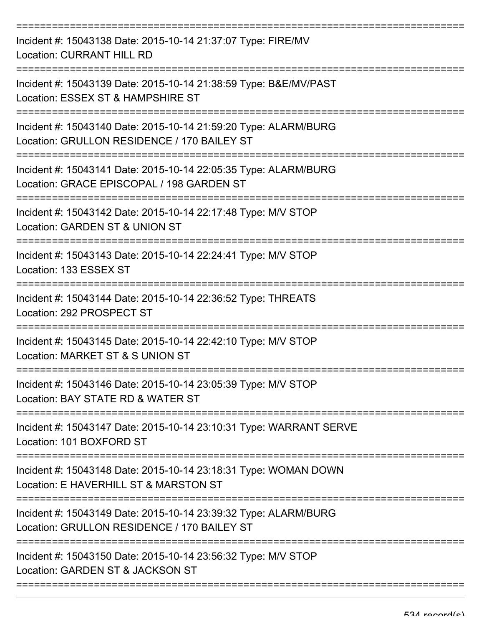| Incident #: 15043138 Date: 2015-10-14 21:37:07 Type: FIRE/MV<br><b>Location: CURRANT HILL RD</b>                |
|-----------------------------------------------------------------------------------------------------------------|
| Incident #: 15043139 Date: 2015-10-14 21:38:59 Type: B&E/MV/PAST<br>Location: ESSEX ST & HAMPSHIRE ST           |
| Incident #: 15043140 Date: 2015-10-14 21:59:20 Type: ALARM/BURG<br>Location: GRULLON RESIDENCE / 170 BAILEY ST  |
| Incident #: 15043141 Date: 2015-10-14 22:05:35 Type: ALARM/BURG<br>Location: GRACE EPISCOPAL / 198 GARDEN ST    |
| Incident #: 15043142 Date: 2015-10-14 22:17:48 Type: M/V STOP<br>Location: GARDEN ST & UNION ST                 |
| Incident #: 15043143 Date: 2015-10-14 22:24:41 Type: M/V STOP<br>Location: 133 ESSEX ST                         |
| Incident #: 15043144 Date: 2015-10-14 22:36:52 Type: THREATS<br>Location: 292 PROSPECT ST                       |
| ==========<br>Incident #: 15043145 Date: 2015-10-14 22:42:10 Type: M/V STOP<br>Location: MARKET ST & S UNION ST |
| Incident #: 15043146 Date: 2015-10-14 23:05:39 Type: M/V STOP<br>Location: BAY STATE RD & WATER ST              |
| Incident #: 15043147 Date: 2015-10-14 23:10:31 Type: WARRANT SERVE<br>Location: 101 BOXFORD ST                  |
| Incident #: 15043148 Date: 2015-10-14 23:18:31 Type: WOMAN DOWN<br>Location: E HAVERHILL ST & MARSTON ST        |
| Incident #: 15043149 Date: 2015-10-14 23:39:32 Type: ALARM/BURG<br>Location: GRULLON RESIDENCE / 170 BAILEY ST  |
| Incident #: 15043150 Date: 2015-10-14 23:56:32 Type: M/V STOP<br>Location: GARDEN ST & JACKSON ST               |
|                                                                                                                 |